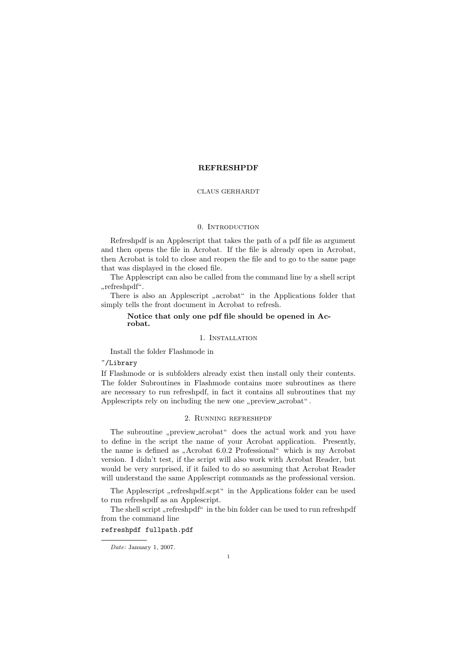#### REFRESHPDF

#### CLAUS GERHARDT

#### 0. INTRODUCTION

Refreshpdf is an Applescript that takes the path of a pdf file as argument and then opens the file in Acrobat. If the file is already open in Acrobat, then Acrobat is told to close and reopen the file and to go to the same page that was displayed in the closed file.

The Applescript can also be called from the command line by a shell script " refreshpdf".

There is also an Applescript "acrobat" in the Applications folder that simply tells the front document in Acrobat to refresh.

## Notice that only one pdf file should be opened in Acrobat.

#### 1. Installation

Install the folder Flashmode in

~/Library

If Flashmode or is subfolders already exist then install only their contents. The folder Subroutines in Flashmode contains more subroutines as there are necessary to run refreshpdf, in fact it contains all subroutines that my Applescripts rely on including the new one "preview  $arccosh<sup>u</sup>$ .

#### 2. Running refreshpdf

The subroutine "preview acrobat" does the actual work and you have<br>define in the covint the name of your Aspekt emplication. Presently to define in the script the name of your Acrobat application. Presently, the name is defined as "Acrobat 6.0.2 Professional" which is my Acrobat  $\frac{1}{2}$  and  $\frac{1}{2}$  and  $\frac{1}{2}$  and  $\frac{1}{2}$  and  $\frac{1}{2}$  and  $\frac{1}{2}$  and  $\frac{1}{2}$  and  $\frac{1}{2}$  and  $\frac{1}{2}$  and  $\frac{1}{2}$  and  $\frac{1}{2}$ version. I didn't test, if the script will also work with Acrobat Reader, but would be very surprised, if it failed to do so assuming that Acrobat Reader will understand the same Applescript commands as the professional version.

The Applescript "refreshpdf.scpt" in the Applications folder can be used<br>www.acforcha.if  $\epsilon$  as a Applement to run refreshpdf as an Applescript.

The shell script "refreshpdf" in the bin folder can be used to run refreshpdf  $\ldots$  the common deling from the command line

## refreshpdf fullpath.pdf

Date: January 1, 2007.